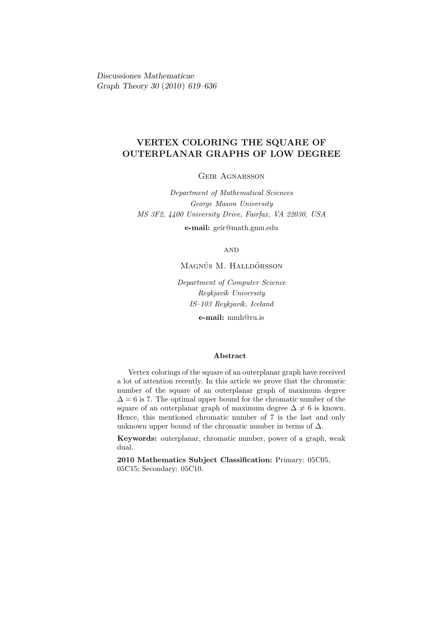Discussiones Mathematicae Graph Theory 30 (2010) 619-636

# VERTEX COLORING THE SQUARE OF OUTERPLANAR GRAPHS OF LOW DEGREE

# Geir Agnarsson

Department of Mathematical Sciences George Mason University MS 3F2, 4400 University Drive, Fairfax, VA 22030, USA e-mail: geir@math.gmu.edu

**AND** 

MAGNÚS M. HALLDÓRSSON

Department of Computer Science Reykjavík University IS-103 Reykjavík, Iceland e-mail: mmh@ru.is

### Abstract

Vertex colorings of the square of an outerplanar graph have received a lot of attention recently. In this article we prove that the chromatic number of the square of an outerplanar graph of maximum degree  $\Delta = 6$  is 7. The optimal upper bound for the chromatic number of the square of an outerplanar graph of maximum degree  $\Delta \neq 6$  is known. Hence, this mentioned chromatic number of 7 is the last and only unknown upper bound of the chromatic number in terms of  $\Delta$ .

Keywords: outerplanar, chromatic number, power of a graph, weak dual.

2010 Mathematics Subject Classification: Primary: 05C05, 05C15; Secondary: 05C10.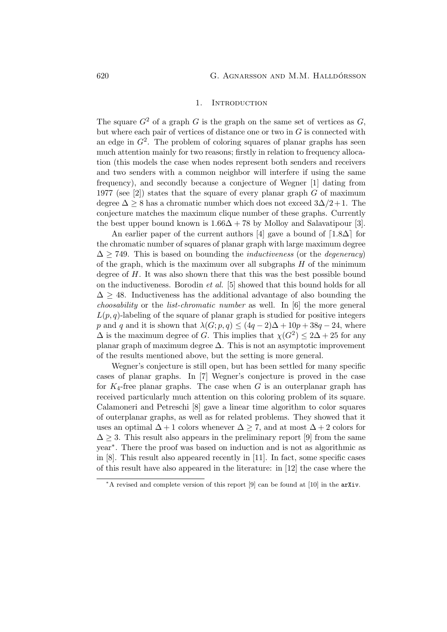#### 1. INTRODUCTION

The square  $G^2$  of a graph G is the graph on the same set of vertices as G, but where each pair of vertices of distance one or two in  $G$  is connected with an edge in  $G^2$ . The problem of coloring squares of planar graphs has seen much attention mainly for two reasons; firstly in relation to frequency allocation (this models the case when nodes represent both senders and receivers and two senders with a common neighbor will interfere if using the same frequency), and secondly because a conjecture of Wegner [1] dating from 1977 (see [2]) states that the square of every planar graph  $G$  of maximum degree  $\Delta \geq 8$  has a chromatic number which does not exceed  $3\Delta/2+1$ . The conjecture matches the maximum clique number of these graphs. Currently the best upper bound known is  $1.66\Delta + 78$  by Molloy and Salavatipour [3].

An earlier paper of the current authors [4] gave a bound of  $[1.8\Delta]$  for the chromatic number of squares of planar graph with large maximum degree  $\Delta > 749$ . This is based on bounding the *inductiveness* (or the *degeneracy*) of the graph, which is the maximum over all subgraphs  $H$  of the minimum degree of  $H$ . It was also shown there that this was the best possible bound on the inductiveness. Borodin et al. [5] showed that this bound holds for all  $\Delta \geq 48$ . Inductiveness has the additional advantage of also bounding the choosability or the list-chromatic number as well. In [6] the more general  $L(p,q)$ -labeling of the square of planar graph is studied for positive integers p and q and it is shown that  $\lambda(G; p, q) \leq (4q - 2)\Delta + 10p + 38q - 24$ , where  $\Delta$  is the maximum degree of G. This implies that  $\chi(G^2) \leq 2\Delta + 25$  for any planar graph of maximum degree  $\Delta$ . This is not an asymptotic improvement of the results mentioned above, but the setting is more general.

Wegner's conjecture is still open, but has been settled for many specific cases of planar graphs. In [7] Wegner's conjecture is proved in the case for  $K_4$ -free planar graphs. The case when G is an outerplanar graph has received particularly much attention on this coloring problem of its square. Calamoneri and Petreschi [8] gave a linear time algorithm to color squares of outerplanar graphs, as well as for related problems. They showed that it uses an optimal  $\Delta + 1$  colors whenever  $\Delta \geq 7$ , and at most  $\Delta + 2$  colors for  $\Delta \geq 3$ . This result also appears in the preliminary report [9] from the same year<sup>∗</sup> . There the proof was based on induction and is not as algorithmic as in [8]. This result also appeared recently in [11]. In fact, some specific cases of this result have also appeared in the literature: in [12] the case where the

<sup>∗</sup>A revised and complete version of this report [9] can be found at [10] in the arXiv.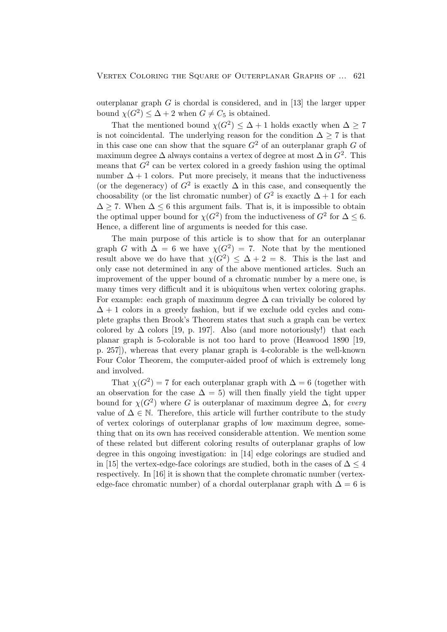outerplanar graph  $G$  is chordal is considered, and in [13] the larger upper bound  $\chi(G^2) \leq \Delta + 2$  when  $G \neq C_5$  is obtained.

That the mentioned bound  $\chi(G^2) \leq \Delta + 1$  holds exactly when  $\Delta \geq 7$ is not coincidental. The underlying reason for the condition  $\Delta \geq 7$  is that in this case one can show that the square  $G<sup>2</sup>$  of an outerplanar graph G of maximum degree  $\Delta$  always contains a vertex of degree at most  $\Delta$  in  $G^2$ . This means that  $G^2$  can be vertex colored in a greedy fashion using the optimal number  $\Delta + 1$  colors. Put more precisely, it means that the inductiveness (or the degeneracy) of  $G^2$  is exactly  $\Delta$  in this case, and consequently the choosability (or the list chromatic number) of  $G^2$  is exactly  $\Delta + 1$  for each  $\Delta$  > 7. When  $\Delta$  < 6 this argument fails. That is, it is impossible to obtain the optimal upper bound for  $\chi(G^2)$  from the inductiveness of  $G^2$  for  $\Delta \leq 6$ . Hence, a different line of arguments is needed for this case.

The main purpose of this article is to show that for an outerplanar graph G with  $\Delta = 6$  we have  $\chi(G^2) = 7$ . Note that by the mentioned result above we do have that  $\chi(G^2) \leq \Delta + 2 = 8$ . This is the last and only case not determined in any of the above mentioned articles. Such an improvement of the upper bound of a chromatic number by a mere one, is many times very difficult and it is ubiquitous when vertex coloring graphs. For example: each graph of maximum degree  $\Delta$  can trivially be colored by  $\Delta + 1$  colors in a greedy fashion, but if we exclude odd cycles and complete graphs then Brook's Theorem states that such a graph can be vertex colored by  $\Delta$  colors [19, p. 197]. Also (and more notoriously!) that each planar graph is 5-colorable is not too hard to prove (Heawood 1890 [19, p. 257]), whereas that every planar graph is 4-colorable is the well-known Four Color Theorem, the computer-aided proof of which is extremely long and involved.

That  $\chi(G^2) = 7$  for each outerplanar graph with  $\Delta = 6$  (together with an observation for the case  $\Delta = 5$ ) will then finally yield the tight upper bound for  $\chi(G^2)$  where G is outerplanar of maximum degree  $\Delta$ , for every value of  $\Delta \in \mathbb{N}$ . Therefore, this article will further contribute to the study of vertex colorings of outerplanar graphs of low maximum degree, something that on its own has received considerable attention. We mention some of these related but different coloring results of outerplanar graphs of low degree in this ongoing investigation: in [14] edge colorings are studied and in [15] the vertex-edge-face colorings are studied, both in the cases of  $\Delta \leq 4$ respectively. In [16] it is shown that the complete chromatic number (vertexedge-face chromatic number) of a chordal outerplanar graph with  $\Delta = 6$  is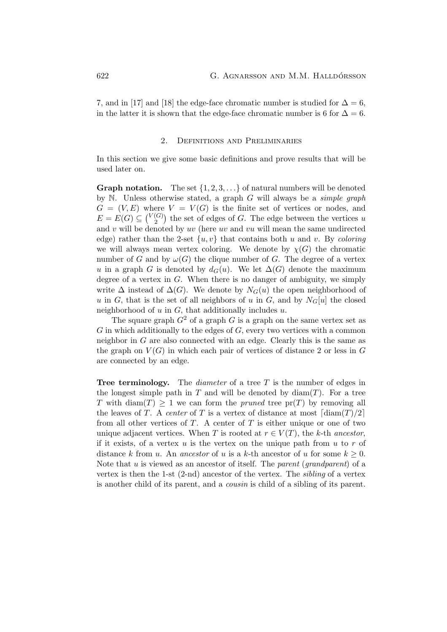7, and in [17] and [18] the edge-face chromatic number is studied for  $\Delta = 6$ . in the latter it is shown that the edge-face chromatic number is 6 for  $\Delta = 6$ .

#### 2. Definitions and Preliminaries

In this section we give some basic definitions and prove results that will be used later on.

**Graph notation.** The set  $\{1, 2, 3, ...\}$  of natural numbers will be denoted by  $N$ . Unless otherwise stated, a graph  $G$  will always be a *simple graph*  $G = (V, E)$  where  $V = V(G)$  is the finite set of vertices or nodes, and  $E = E(G) \subseteq {V(G) \choose 2}$  $\binom{G}{2}$  the set of edges of G. The edge between the vertices u and  $v$  will be denoted by  $uv$  (here  $uv$  and  $vu$  will mean the same undirected edge) rather than the 2-set  $\{u, v\}$  that contains both u and v. By coloring we will always mean vertex coloring. We denote by  $\chi(G)$  the chromatic number of G and by  $\omega(G)$  the clique number of G. The degree of a vertex u in a graph G is denoted by  $d_G(u)$ . We let  $\Delta(G)$  denote the maximum degree of a vertex in G. When there is no danger of ambiguity, we simply write  $\Delta$  instead of  $\Delta(G)$ . We denote by  $N_G(u)$  the open neighborhood of u in G, that is the set of all neighbors of u in G, and by  $N_G[u]$  the closed neighborhood of  $u$  in  $G$ , that additionally includes  $u$ .

The square graph  $G^2$  of a graph G is a graph on the same vertex set as  $G$  in which additionally to the edges of  $G$ , every two vertices with a common neighbor in G are also connected with an edge. Clearly this is the same as the graph on  $V(G)$  in which each pair of vertices of distance 2 or less in G are connected by an edge.

**Tree terminology.** The *diameter* of a tree  $T$  is the number of edges in the longest simple path in  $T$  and will be denoted by  $diam(T)$ . For a tree T with diam(T)  $\geq 1$  we can form the *pruned* tree pr(T) by removing all the leaves of T. A center of T is a vertex of distance at most  $\lceil \text{diam}(T)/2 \rceil$ from all other vertices of  $T$ . A center of  $T$  is either unique or one of two unique adjacent vertices. When T is rooted at  $r \in V(T)$ , the k-th ancestor, if it exists, of a vertex u is the vertex on the unique path from u to r of distance k from u. An ancestor of u is a k-th ancestor of u for some  $k \geq 0$ . Note that  $u$  is viewed as an ancestor of itself. The parent (grandparent) of a vertex is then the 1-st (2-nd) ancestor of the vertex. The sibling of a vertex is another child of its parent, and a cousin is child of a sibling of its parent.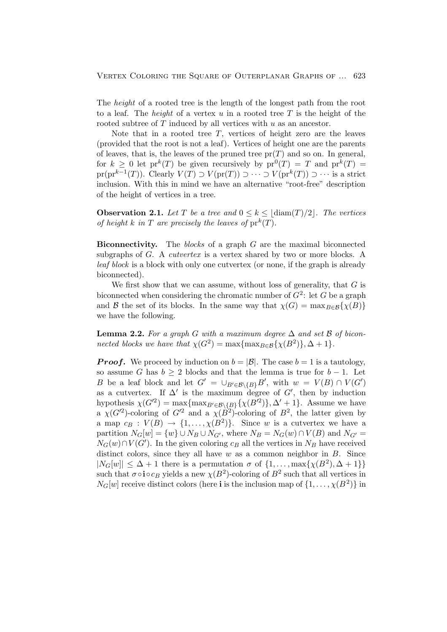The height of a rooted tree is the length of the longest path from the root to a leaf. The *height* of a vertex u in a rooted tree T is the height of the rooted subtree of  $T$  induced by all vertices with  $u$  as an ancestor.

Note that in a rooted tree  $T$ , vertices of height zero are the leaves (provided that the root is not a leaf). Vertices of height one are the parents of leaves, that is, the leaves of the pruned tree  $pr(T)$  and so on. In general, for  $k \geq 0$  let  $pr^k(T)$  be given recursively by  $pr^0(T) = T$  and  $pr^k(T) =$  $pr(pr^{k-1}(T))$ . Clearly  $V(T) \supset V(pr(T)) \supset \cdots \supset V(pr^{k}(T)) \supset \cdots$  is a strict inclusion. With this in mind we have an alternative "root-free" description of the height of vertices in a tree.

**Observation 2.1.** Let T be a tree and  $0 \le k \le \text{diam}(T)/2$ . The vertices of height k in T are precisely the leaves of  $\mathrm{pr}^k(T)$ .

**Biconnectivity.** The blocks of a graph  $G$  are the maximal biconnected subgraphs of G. A *cutvertex* is a vertex shared by two or more blocks. A leaf block is a block with only one cutvertex (or none, if the graph is already biconnected).

We first show that we can assume, without loss of generality, that  $G$  is biconnected when considering the chromatic number of  $G^2$ : let G be a graph and B the set of its blocks. In the same way that  $\chi(G) = \max_{B \in \mathcal{B}} \{\chi(B)\}\$ we have the following.

**Lemma 2.2.** For a graph G with a maximum degree  $\Delta$  and set  $\beta$  of biconnected blocks we have that  $\chi(G^2) = \max\{\max_{B \in \mathcal{B}} {\chi(B^2)}\}, \Delta + 1$ .

**Proof.** We proceed by induction on  $b = |\mathcal{B}|$ . The case  $b = 1$  is a tautology, so assume G has  $b \geq 2$  blocks and that the lemma is true for  $b-1$ . Let B be a leaf block and let  $G' = \bigcup_{B' \in \mathcal{B} \backslash \{B\}} B'$ , with  $w = V(B) \cap V(G')$ as a cutvertex. If  $\Delta'$  is the maximum degree of  $G'$ , then by induction hypothesis  $\chi(G'^2) = \max\{\max_{B' \in \mathcal{B} \setminus \{B\}} \{\chi(B'^2)\}, \Delta' + 1\}.$  Assume we have a  $\chi(G^2)$ -coloring of  $G^2$  and a  $\chi(B^2)$ -coloring of  $B^2$ , the latter given by a map  $c_B : V(B) \to \{1, \ldots, \chi(B^2)\}.$  Since w is a cutvertex we have a partition  $N_G[w] = \{w\} \cup N_B \cup N_{G'}$ , where  $N_B = N_G(w) \cap V(B)$  and  $N_{G'} =$  $N_G(w) \cap V(G')$ . In the given coloring  $c_B$  all the vertices in  $N_B$  have received distinct colors, since they all have  $w$  as a common neighbor in  $B$ . Since  $|N_G[w]| \leq \Delta + 1$  there is a permutation  $\sigma$  of  $\{1, \ldots, \max\{\chi(B^2), \Delta + 1\}\}\$ such that  $\sigma \circ i \circ c_B$  yields a new  $\chi(B^2)$ -coloring of  $B^2$  such that all vertices in  $N_G[w]$  receive distinct colors (here **i** is the inclusion map of  $\{1, \ldots, \chi(B^2)\}\$ in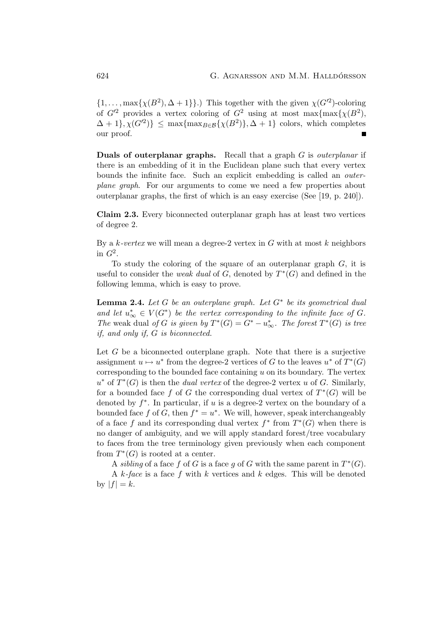$\{1,\ldots,\max\{\chi(B^2),\Delta+1\}\}\.$  This together with the given  $\chi(G'^2)$ -coloring of  $G'^2$  provides a vertex coloring of  $G^2$  using at most max $\{\max\{\chi(B^2),\chi(B^2)\}\}$  $\Delta + 1$ ,  $\chi(G^2)$   $\leq$  max $\{\max_{B \in \mathcal{B}} {\{\chi(B^2)\}}$ ,  $\Delta + 1$  colors, which completes our proof. Ē

Duals of outerplanar graphs. Recall that a graph G is outerplanar if there is an embedding of it in the Euclidean plane such that every vertex bounds the infinite face. Such an explicit embedding is called an outerplane graph. For our arguments to come we need a few properties about outerplanar graphs, the first of which is an easy exercise (See [19, p. 240]).

Claim 2.3. Every biconnected outerplanar graph has at least two vertices of degree 2.

By a  $k$ -vertex we will mean a degree-2 vertex in  $G$  with at most  $k$  neighbors in  $G^2$ .

To study the coloring of the square of an outerplanar graph  $G$ , it is useful to consider the *weak dual* of  $G$ , denoted by  $T^*(G)$  and defined in the following lemma, which is easy to prove.

**Lemma 2.4.** Let  $G$  be an outerplane graph. Let  $G^*$  be its geometrical dual and let  $u_{\infty}^* \in V(G^*)$  be the vertex corresponding to the infinite face of G. The weak dual of G is given by  $T^*(G) = G^* - u^*_{\infty}$ . The forest  $T^*(G)$  is tree if, and only if, G is biconnected.

Let  $G$  be a biconnected outerplane graph. Note that there is a surjective assignment  $u \mapsto u^*$  from the degree-2 vertices of G to the leaves  $u^*$  of  $T^*(G)$ corresponding to the bounded face containing  $u$  on its boundary. The vertex  $u^*$  of  $T^*(G)$  is then the *dual vertex* of the degree-2 vertex u of G. Similarly, for a bounded face f of G the corresponding dual vertex of  $T^*(G)$  will be denoted by  $f^*$ . In particular, if u is a degree-2 vertex on the boundary of a bounded face f of G, then  $f^* = u^*$ . We will, however, speak interchangeably of a face f and its corresponding dual vertex  $f^*$  from  $T^*(G)$  when there is no danger of ambiguity, and we will apply standard forest/tree vocabulary to faces from the tree terminology given previously when each component from  $T^*(G)$  is rooted at a center.

A *sibling* of a face f of G is a face g of G with the same parent in  $T^*(G)$ .

A k-face is a face f with k vertices and k edges. This will be denoted by  $|f| = k$ .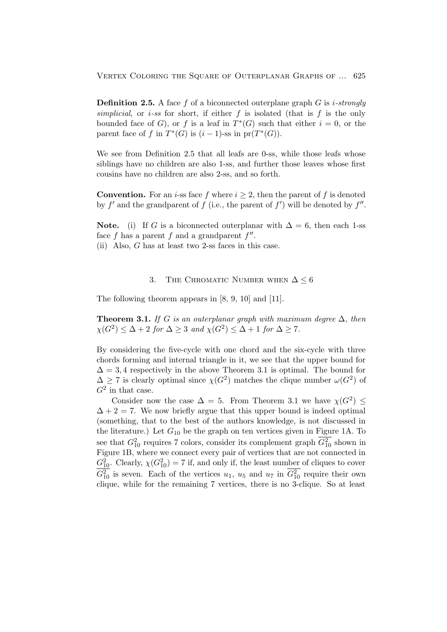**Definition 2.5.** A face f of a biconnected outerplane graph  $G$  is i-strongly simplicial, or *i*-ss for short, if either f is isolated (that is f is the only bounded face of G, or f is a leaf in  $T^*(G)$  such that either  $i = 0$ , or the parent face of f in  $T^*(G)$  is  $(i-1)$ -ss in  $pr(T^*(G))$ .

We see from Definition 2.5 that all leafs are 0-ss, while those leafs whose siblings have no children are also 1-ss, and further those leaves whose first cousins have no children are also 2-ss, and so forth.

**Convention.** For an *i*-ss face f where  $i \geq 2$ , then the parent of f is denoted by  $f'$  and the grandparent of f (i.e., the parent of  $f'$ ) will be denoted by  $f''$ .

Note. (i) If G is a biconnected outerplanar with  $\Delta = 6$ , then each 1-ss face f has a parent f and a grandparent  $f''$ .

(ii) Also, G has at least two 2-ss faces in this case.

# 3. THE CHROMATIC NUMBER WHEN  $\Delta \leq 6$

The following theorem appears in [8, 9, 10] and [11].

Theorem 3.1. If G is an outerplanar graph with maximum degree  $\Delta$ , then  $\chi(G^2) \leq \Delta + 2$  for  $\Delta \geq 3$  and  $\chi(G^2) \leq \Delta + 1$  for  $\Delta \geq 7$ .

By considering the five-cycle with one chord and the six-cycle with three chords forming and internal triangle in it, we see that the upper bound for  $\Delta = 3, 4$  respectively in the above Theorem 3.1 is optimal. The bound for  $\Delta \geq 7$  is clearly optimal since  $\chi(G^2)$  matches the clique number  $\omega(G^2)$  of  $G^2$  in that case.

Consider now the case  $\Delta = 5$ . From Theorem 3.1 we have  $\chi(G^2) \leq$  $\Delta + 2 = 7$ . We now briefly argue that this upper bound is indeed optimal (something, that to the best of the authors knowledge, is not discussed in the literature.) Let  $G_{10}$  be the graph on ten vertices given in Figure 1A. To see that  $G_{10}^2$  requires 7 colors, consider its complement graph  $G_{10}^2$  shown in Figure 1B, where we connect every pair of vertices that are not connected in  $G_{10}^2$ . Clearly,  $\chi(G_{10}^2) = 7$  if, and only if, the least number of cliques to cover  $G_{10}^2$  is seven. Each of the vertices  $u_1$ ,  $u_5$  and  $u_7$  in  $G_{10}^2$  require their own clique, while for the remaining 7 vertices, there is no 3-clique. So at least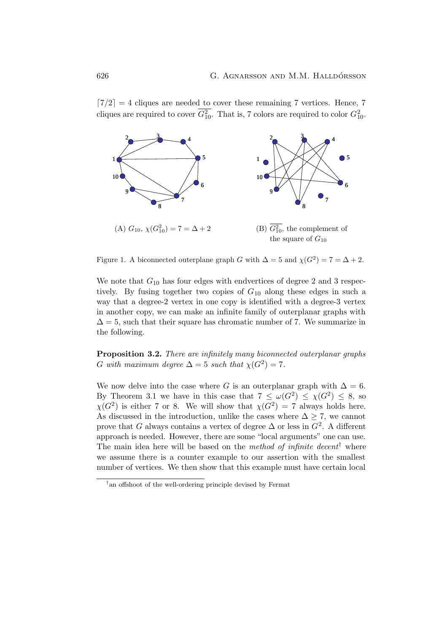$[7/2] = 4$  cliques are needed to cover these remaining 7 vertices. Hence, 7 cliques are required to cover  $G_{10}^2$ . That is, 7 colors are required to color  $G_{10}^2$ .



Figure 1. A biconnected outerplane graph G with  $\Delta = 5$  and  $\chi(G^2) = 7 = \Delta + 2$ .

We note that  $G_{10}$  has four edges with endvertices of degree 2 and 3 respectively. By fusing together two copies of  $G_{10}$  along these edges in such a way that a degree-2 vertex in one copy is identified with a degree-3 vertex in another copy, we can make an infinite family of outerplanar graphs with  $\Delta = 5$ , such that their square has chromatic number of 7. We summarize in the following.

Proposition 3.2. There are infinitely many biconnected outerplanar graphs G with maximum degree  $\Delta = 5$  such that  $\chi(G^2) = 7$ .

We now delve into the case where G is an outerplanar graph with  $\Delta = 6$ . By Theorem 3.1 we have in this case that  $7 \leq \omega(G^2) \leq \chi(G^2) \leq 8$ , so  $\chi(G^2)$  is either 7 or 8. We will show that  $\chi(G^2) = 7$  always holds here. As discussed in the introduction, unlike the cases where  $\Delta \geq 7$ , we cannot prove that G always contains a vertex of degree  $\Delta$  or less in  $G^2$ . A different approach is needed. However, there are some "local arguments" one can use. The main idea here will be based on the method of infinite decent<sup>†</sup> where we assume there is a counter example to our assertion with the smallest number of vertices. We then show that this example must have certain local

<sup>†</sup> an offshoot of the well-ordering principle devised by Fermat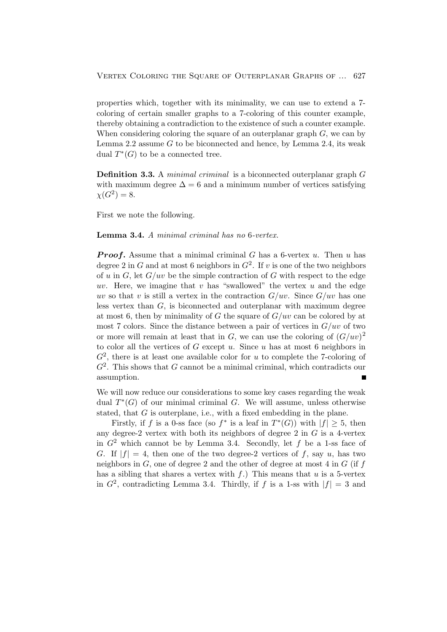properties which, together with its minimality, we can use to extend a 7 coloring of certain smaller graphs to a 7-coloring of this counter example, thereby obtaining a contradiction to the existence of such a counter example. When considering coloring the square of an outerplanar graph  $G$ , we can by Lemma 2.2 assume  $G$  to be biconnected and hence, by Lemma 2.4, its weak dual  $T^*(G)$  to be a connected tree.

Definition 3.3. A *minimal criminal* is a biconnected outerplanar graph G with maximum degree  $\Delta = 6$  and a minimum number of vertices satisfying  $\chi(G^2) = 8.$ 

First we note the following.

Lemma 3.4. A minimal criminal has no 6-vertex.

**Proof.** Assume that a minimal criminal G has a 6-vertex  $u$ . Then  $u$  has degree 2 in G and at most 6 neighbors in  $G^2$ . If v is one of the two neighbors of u in G, let  $G/uv$  be the simple contraction of G with respect to the edge uv. Here, we imagine that v has "swallowed" the vertex u and the edge uv so that v is still a vertex in the contraction  $G/uv$ . Since  $G/uv$  has one less vertex than G, is biconnected and outerplanar with maximum degree at most 6, then by minimality of G the square of  $G/uv$  can be colored by at most 7 colors. Since the distance between a pair of vertices in  $G/uv$  of two or more will remain at least that in G, we can use the coloring of  $(G/uv)^2$ to color all the vertices of  $G$  except  $u$ . Since  $u$  has at most 6 neighbors in  $G^2$ , there is at least one available color for u to complete the 7-coloring of  $G^2$ . This shows that G cannot be a minimal criminal, which contradicts our assumption.

We will now reduce our considerations to some key cases regarding the weak dual  $T^*(G)$  of our minimal criminal G. We will assume, unless otherwise stated, that G is outerplane, i.e., with a fixed embedding in the plane.

Firstly, if f is a 0-ss face (so  $f^*$  is a leaf in  $T^*(G)$ ) with  $|f| \geq 5$ , then any degree-2 vertex with both its neighbors of degree  $2 \text{ in } G$  is a 4-vertex in  $G<sup>2</sup>$  which cannot be by Lemma 3.4. Secondly, let f be a 1-ss face of G. If  $|f| = 4$ , then one of the two degree-2 vertices of f, say u, has two neighbors in  $G$ , one of degree 2 and the other of degree at most 4 in  $G$  (if  $f$ has a sibling that shares a vertex with  $f$ .) This means that  $u$  is a 5-vertex in  $G^2$ , contradicting Lemma 3.4. Thirdly, if f is a 1-ss with  $|f| = 3$  and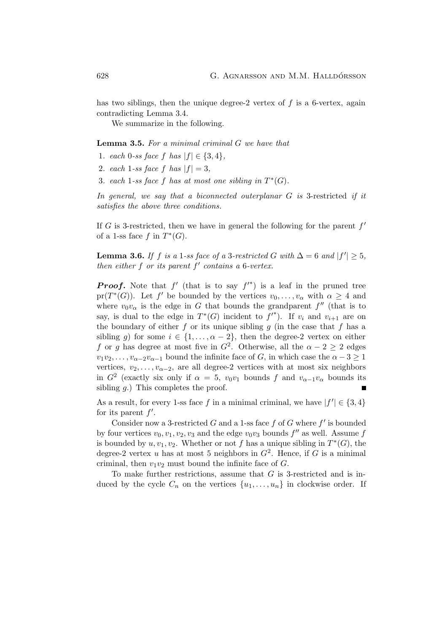has two siblings, then the unique degree-2 vertex of  $f$  is a 6-vertex, again contradicting Lemma 3.4.

We summarize in the following.

Lemma 3.5. For a minimal criminal G we have that

- 1. each 0-ss face f has  $|f| \in \{3, 4\},\$
- 2. each 1-ss face f has  $|f| = 3$ ,
- 3. each 1-ss face f has at most one sibling in  $T^*(G)$ .

In general, we say that a biconnected outerplanar G is 3-restricted if it satisfies the above three conditions.

If G is 3-restricted, then we have in general the following for the parent  $f'$ of a 1-ss face  $f$  in  $T^*(G)$ .

**Lemma 3.6.** If f is a 1-ss face of a 3-restricted G with  $\Delta = 6$  and  $|f'| \ge 5$ , then either  $f$  or its parent  $f'$  contains a 6-vertex.

**Proof.** Note that  $f'$  (that is to say  $f'^{*}$ ) is a leaf in the pruned tree pr( $T^*(G)$ ). Let f' be bounded by the vertices  $v_0, \ldots, v_\alpha$  with  $\alpha \geq 4$  and where  $v_0v_\alpha$  is the edge in G that bounds the grandparent  $f''$  (that is to say, is dual to the edge in  $T^*(G)$  incident to  $f'^*$ ). If  $v_i$  and  $v_{i+1}$  are on the boundary of either f or its unique sibling  $g$  (in the case that f has a sibling g) for some  $i \in \{1, \ldots, \alpha - 2\}$ , then the degree-2 vertex on either f or g has degree at most five in  $G^2$ . Otherwise, all the  $\alpha - 2 \geq 2$  edges  $v_1v_2, \ldots, v_{\alpha-2}v_{\alpha-1}$  bound the infinite face of G, in which case the  $\alpha - 3 \geq 1$ vertices,  $v_2, \ldots, v_{\alpha-2}$ , are all degree-2 vertices with at most six neighbors in  $G^2$  (exactly six only if  $\alpha = 5$ ,  $v_0v_1$  bounds f and  $v_{\alpha-1}v_{\alpha}$  bounds its sibling  $q$ .) This completes the proof.

As a result, for every 1-ss face f in a minimal criminal, we have  $|f'| \in \{3, 4\}$ for its parent  $f'$ .

Consider now a 3-restricted  $G$  and a 1-ss face  $f$  of  $G$  where  $f'$  is bounded by four vertices  $v_0, v_1, v_2, v_3$  and the edge  $v_0v_3$  bounds  $f''$  as well. Assume f is bounded by  $u, v_1, v_2$ . Whether or not f has a unique sibling in  $T^*(G)$ , the degree-2 vertex u has at most 5 neighbors in  $G^2$ . Hence, if G is a minimal criminal, then  $v_1v_2$  must bound the infinite face of G.

To make further restrictions, assume that  $G$  is 3-restricted and is induced by the cycle  $C_n$  on the vertices  $\{u_1, \ldots, u_n\}$  in clockwise order. If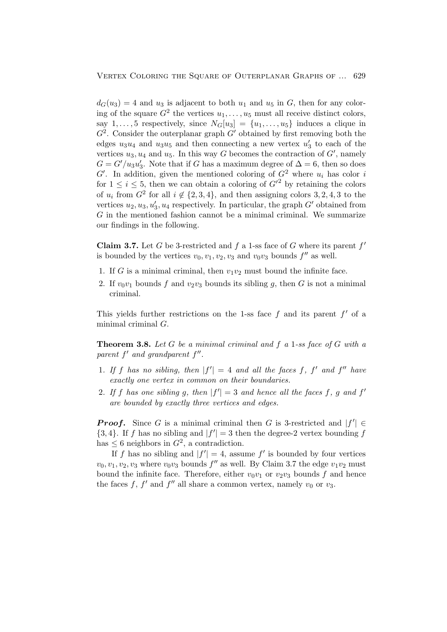$d_G(u_3) = 4$  and  $u_3$  is adjacent to both  $u_1$  and  $u_5$  in G, then for any coloring of the square  $G^2$  the vertices  $u_1, \ldots, u_5$  must all receive distinct colors, say 1,..., 5 respectively, since  $N_G[u_3] = \{u_1, \ldots, u_5\}$  induces a clique in  $G^2$ . Consider the outerplanar graph  $G'$  obtained by first removing both the edges  $u_3u_4$  and  $u_3u_5$  and then connecting a new vertex  $u'_3$  to each of the vertices  $u_3, u_4$  and  $u_5$ . In this way G becomes the contraction of  $G'$ , namely  $G = G'/u_3u'_3$ . Note that if G has a maximum degree of  $\Delta = 6$ , then so does  $G'$ . In addition, given the mentioned coloring of  $G^2$  where  $u_i$  has color i for  $1 \leq i \leq 5$ , then we can obtain a coloring of  $G'^2$  by retaining the colors of  $u_i$  from  $G^2$  for all  $i \notin \{2,3,4\}$ , and then assigning colors 3, 2, 4, 3 to the vertices  $u_2, u_3, u'_3, u_4$  respectively. In particular, the graph  $G'$  obtained from  $G$  in the mentioned fashion cannot be a minimal criminal. We summarize our findings in the following.

**Claim 3.7.** Let G be 3-restricted and f a 1-ss face of G where its parent  $f'$ is bounded by the vertices  $v_0, v_1, v_2, v_3$  and  $v_0v_3$  bounds  $f''$  as well.

- 1. If G is a minimal criminal, then  $v_1v_2$  must bound the infinite face.
- 2. If  $v_0v_1$  bounds f and  $v_2v_3$  bounds its sibling g, then G is not a minimal criminal.

This yields further restrictions on the 1-ss face  $f$  and its parent  $f'$  of a minimal criminal G.

**Theorem 3.8.** Let  $G$  be a minimal criminal and  $f$  a 1-ss face of  $G$  with a parent  $f'$  and grandparent  $f''$ .

- 1. If f has no sibling, then  $|f'| = 4$  and all the faces f, f' and f" have exactly one vertex in common on their boundaries.
- 2. If f has one sibling g, then  $|f'| = 3$  and hence all the faces f, g and f' are bounded by exactly three vertices and edges.

**Proof.** Since G is a minimal criminal then G is 3-restricted and  $|f'| \in$  $\{3, 4\}$ . If f has no sibling and  $|f'| = 3$  then the degree-2 vertex bounding f has  $\leq 6$  neighbors in  $G^2$ , a contradiction.

If f has no sibling and  $|f'| = 4$ , assume f' is bounded by four vertices  $v_0, v_1, v_2, v_3$  where  $v_0v_3$  bounds  $f''$  as well. By Claim 3.7 the edge  $v_1v_2$  must bound the infinite face. Therefore, either  $v_0v_1$  or  $v_2v_3$  bounds f and hence the faces f,  $f'$  and  $f''$  all share a common vertex, namely  $v_0$  or  $v_3$ .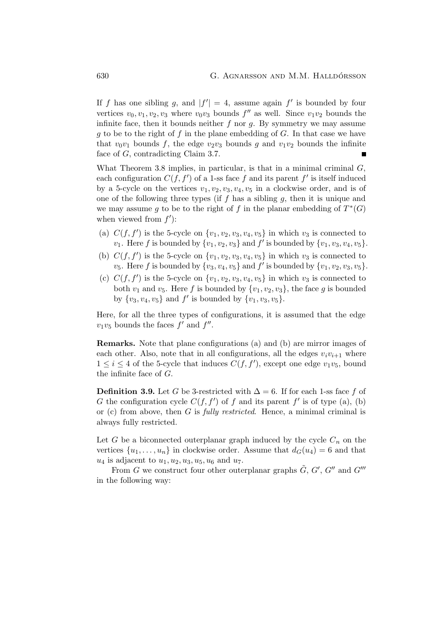If f has one sibling g, and  $|f'| = 4$ , assume again f' is bounded by four vertices  $v_0, v_1, v_2, v_3$  where  $v_0v_3$  bounds  $f''$  as well. Since  $v_1v_2$  bounds the infinite face, then it bounds neither  $f$  nor  $g$ . By symmetry we may assume g to be to the right of f in the plane embedding of  $G$ . In that case we have that  $v_0v_1$  bounds f, the edge  $v_2v_3$  bounds g and  $v_1v_2$  bounds the infinite face of G, contradicting Claim 3.7.

What Theorem 3.8 implies, in particular, is that in a minimal criminal  $G$ , each configuration  $C(f, f')$  of a 1-ss face f and its parent f' is itself induced by a 5-cycle on the vertices  $v_1, v_2, v_3, v_4, v_5$  in a clockwise order, and is of one of the following three types (if  $f$  has a sibling  $g$ , then it is unique and we may assume g to be to the right of f in the planar embedding of  $T^*(G)$ when viewed from  $f'$ :

- (a)  $C(f, f')$  is the 5-cycle on  $\{v_1, v_2, v_3, v_4, v_5\}$  in which  $v_3$  is connected to  $v_1$ . Here f is bounded by  $\{v_1, v_2, v_3\}$  and f' is bounded by  $\{v_1, v_3, v_4, v_5\}$ .
- (b)  $C(f, f')$  is the 5-cycle on  $\{v_1, v_2, v_3, v_4, v_5\}$  in which  $v_3$  is connected to  $v_5$ . Here f is bounded by  $\{v_3, v_4, v_5\}$  and f' is bounded by  $\{v_1, v_2, v_3, v_5\}$ .
- (c)  $C(f, f')$  is the 5-cycle on  $\{v_1, v_2, v_3, v_4, v_5\}$  in which  $v_3$  is connected to both  $v_1$  and  $v_5$ . Here f is bounded by  $\{v_1, v_2, v_3\}$ , the face g is bounded by  $\{v_3, v_4, v_5\}$  and  $f'$  is bounded by  $\{v_1, v_3, v_5\}.$

Here, for all the three types of configurations, it is assumed that the edge  $v_1v_5$  bounds the faces  $f'$  and  $f''$ .

Remarks. Note that plane configurations (a) and (b) are mirror images of each other. Also, note that in all configurations, all the edges  $v_i v_{i+1}$  where  $1 \leq i \leq 4$  of the 5-cycle that induces  $C(f, f')$ , except one edge  $v_1v_5$ , bound the infinite face of G.

**Definition 3.9.** Let G be 3-restricted with  $\Delta = 6$ . If for each 1-ss face f of G the configuration cycle  $C(f, f')$  of f and its parent f' is of type (a), (b) or (c) from above, then  $G$  is *fully restricted*. Hence, a minimal criminal is always fully restricted.

Let G be a biconnected outerplanar graph induced by the cycle  $C_n$  on the vertices  $\{u_1, \ldots, u_n\}$  in clockwise order. Assume that  $d_G(u_4) = 6$  and that  $u_4$  is adjacent to  $u_1, u_2, u_3, u_5, u_6$  and  $u_7$ .

From G we construct four other outerplanar graphs  $\tilde{G}$ ,  $G'$ ,  $G''$  and  $G'''$ in the following way: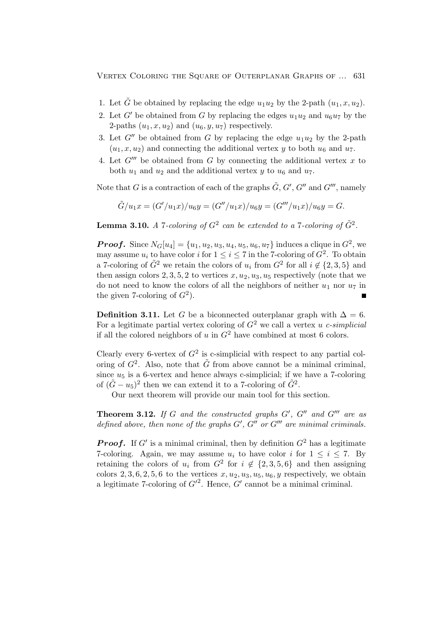- 1. Let  $\tilde{G}$  be obtained by replacing the edge  $u_1u_2$  by the 2-path  $(u_1, x, u_2)$ .
- 2. Let G' be obtained from G by replacing the edges  $u_1u_2$  and  $u_6u_7$  by the 2-paths  $(u_1, x, u_2)$  and  $(u_6, y, u_7)$  respectively.
- 3. Let  $G''$  be obtained from G by replacing the edge  $u_1u_2$  by the 2-path  $(u_1, x, u_2)$  and connecting the additional vertex y to both  $u_6$  and  $u_7$ .
- 4. Let  $G^{\prime\prime\prime}$  be obtained from G by connecting the additional vertex x to both  $u_1$  and  $u_2$  and the additional vertex y to  $u_6$  and  $u_7$ .

Note that G is a contraction of each of the graphs  $\tilde{G}$ ,  $G'$ ,  $G''$  and  $G'''$ , namely

$$
\tilde{G}/u_1x = (G'/u_1x)/u_6y = (G''/u_1x)/u_6y = (G'''/u_1x)/u_6y = G.
$$

**Lemma 3.10.** A 7-coloring of  $G^2$  can be extended to a 7-coloring of  $\tilde{G}^2$ .

**Proof.** Since  $N_G[u_4] = \{u_1, u_2, u_3, u_4, u_5, u_6, u_7\}$  induces a clique in  $G^2$ , we may assume  $u_i$  to have color i for  $1 \leq i \leq 7$  in the 7-coloring of  $G^2$ . To obtain a 7-coloring of  $\tilde{G}^2$  we retain the colors of  $u_i$  from  $G^2$  for all  $i \notin \{2,3,5\}$  and then assign colors 2, 3, 5, 2 to vertices  $x, u_2, u_3, u_5$  respectively (note that we do not need to know the colors of all the neighbors of neither  $u_1$  nor  $u_7$  in the given 7-coloring of  $G^2$ ).

**Definition 3.11.** Let G be a biconnected outerplanar graph with  $\Delta = 6$ . For a legitimate partial vertex coloring of  $G<sup>2</sup>$  we call a vertex u c-simplicial if all the colored neighbors of u in  $G<sup>2</sup>$  have combined at most 6 colors.

Clearly every 6-vertex of  $G^2$  is c-simplicial with respect to any partial coloring of  $G^2$ . Also, note that  $\tilde{G}$  from above cannot be a minimal criminal, since  $u_5$  is a 6-vertex and hence always c-simplicial; if we have a 7-coloring of  $(\tilde{G} - u_5)^2$  then we can extend it to a 7-coloring of  $\tilde{G}^2$ .

Our next theorem will provide our main tool for this section.

**Theorem 3.12.** If G and the constructed graphs  $G'$ ,  $G''$  and  $G'''$  are as defined above, then none of the graphs  $G'$ ,  $G''$  or  $G'''$  are minimal criminals.

**Proof.** If G' is a minimal criminal, then by definition  $G^2$  has a legitimate 7-coloring. Again, we may assume  $u_i$  to have color i for  $1 \leq i \leq 7$ . By retaining the colors of  $u_i$  from  $G^2$  for  $i \notin \{2,3,5,6\}$  and then assigning colors 2, 3, 6, 2, 5, 6 to the vertices  $x, u_2, u_3, u_5, u_6, y$  respectively, we obtain a legitimate 7-coloring of  $G'^2$ . Hence,  $G'$  cannot be a minimal criminal.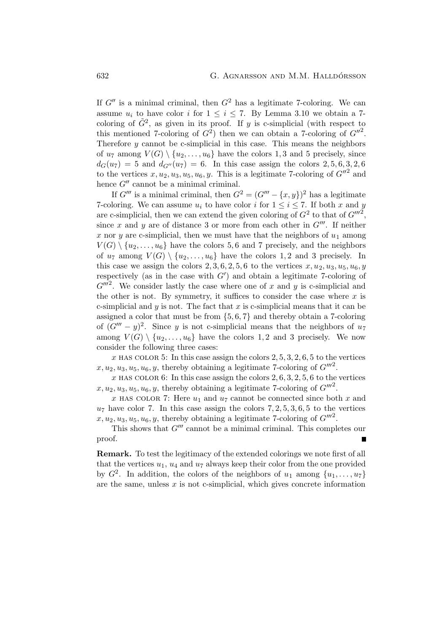If  $G''$  is a minimal criminal, then  $G^2$  has a legitimate 7-coloring. We can assume  $u_i$  to have color i for  $1 \leq i \leq 7$ . By Lemma 3.10 we obtain a 7coloring of  $\tilde{G}^2$ , as given in its proof. If y is c-simplicial (with respect to this mentioned 7-coloring of  $G^2$ ) then we can obtain a 7-coloring of  $G''^2$ . Therefore  $y$  cannot be c-simplicial in this case. This means the neighbors of  $u_7$  among  $V(G) \setminus \{u_2, \ldots, u_6\}$  have the colors 1, 3 and 5 precisely, since  $d_G(u_7) = 5$  and  $d_{G''}(u_7) = 6$ . In this case assign the colors 2, 5, 6, 3, 2, 6 to the vertices  $x, u_2, u_3, u_5, u_6, y$ . This is a legitimate 7-coloring of  $G''^2$  and hence  $G''$  cannot be a minimal criminal.

If  $G'''$  is a minimal criminal, then  $G^2 = (G''' - \{x, y\})^2$  has a legitimate 7-coloring. We can assume  $u_i$  to have color i for  $1 \leq i \leq 7$ . If both x and y are c-simplicial, then we can extend the given coloring of  $G^2$  to that of  $G'''^2$ , since x and y are of distance 3 or more from each other in  $G'''$ . If neither x nor y are c-simplicial, then we must have that the neighbors of  $u_1$  among  $V(G) \setminus \{u_2, \ldots, u_6\}$  have the colors 5,6 and 7 precisely, and the neighbors of  $u_7$  among  $V(G) \setminus \{u_2, \ldots, u_6\}$  have the colors 1, 2 and 3 precisely. In this case we assign the colors  $2, 3, 6, 2, 5, 6$  to the vertices  $x, u_2, u_3, u_5, u_6, y$ respectively (as in the case with  $G'$ ) and obtain a legitimate 7-coloring of  $G^{\prime\prime\prime\prime}^2$ . We consider lastly the case where one of x and y is c-simplicial and the other is not. By symmetry, it suffices to consider the case where  $x$  is c-simplicial and  $y$  is not. The fact that  $x$  is c-simplicial means that it can be assigned a color that must be from  $\{5, 6, 7\}$  and thereby obtain a 7-coloring of  $(G''' - y)^2$ . Since y is not c-simplicial means that the neighbors of  $u_7$ among  $V(G) \setminus \{u_2, \ldots, u_6\}$  have the colors 1, 2 and 3 precisely. We now consider the following three cases:

x HAS COLOR 5: In this case assign the colors  $2, 5, 3, 2, 6, 5$  to the vertices  $x, u_2, u_3, u_5, u_6, y$ , thereby obtaining a legitimate 7-coloring of  $G^{III}$ .

x HAS COLOR 6: In this case assign the colors  $2, 6, 3, 2, 5, 6$  to the vertices  $x, u_2, u_3, u_5, u_6, y$ , thereby obtaining a legitimate 7-coloring of  $G''^{2}$ .

x HAS COLOR 7: Here  $u_1$  and  $u_7$  cannot be connected since both x and  $u_7$  have color 7. In this case assign the colors  $7, 2, 5, 3, 6, 5$  to the vertices  $x, u_2, u_3, u_5, u_6, y$ , thereby obtaining a legitimate 7-coloring of  $G^{III}$ <sup>2</sup>.

This shows that  $G^{\prime\prime\prime}$  cannot be a minimal criminal. This completes our proof.

Remark. To test the legitimacy of the extended colorings we note first of all that the vertices  $u_1, u_4$  and  $u_7$  always keep their color from the one provided by  $G^2$ . In addition, the colors of the neighbors of  $u_1$  among  $\{u_1, \ldots, u_7\}$ are the same, unless  $x$  is not c-simplicial, which gives concrete information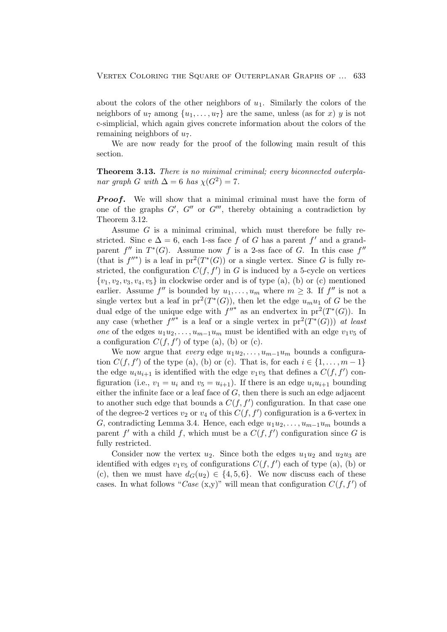about the colors of the other neighbors of  $u_1$ . Similarly the colors of the neighbors of  $u_7$  among  $\{u_1, \ldots, u_7\}$  are the same, unless (as for x) y is not c-simplicial, which again gives concrete information about the colors of the remaining neighbors of  $u_7$ .

We are now ready for the proof of the following main result of this section.

Theorem 3.13. There is no minimal criminal; every biconnected outerplanar graph G with  $\Delta = 6$  has  $\chi(G^2) = 7$ .

**Proof.** We will show that a minimal criminal must have the form of one of the graphs  $G'$ ,  $G''$  or  $G'''$ , thereby obtaining a contradiction by Theorem 3.12.

Assume  $G$  is a minimal criminal, which must therefore be fully restricted. Sinc e  $\Delta = 6$ , each 1-ss face f of G has a parent f' and a grandparent  $f''$  in  $T^*(G)$ . Assume now f is a 2-ss face of G. In this case  $f''$ (that is  $f''^*$ ) is a leaf in  $pr^2(T^*(G))$  or a single vertex. Since G is fully restricted, the configuration  $C(f, f')$  in G is induced by a 5-cycle on vertices  ${v_1, v_2, v_3, v_4, v_5}$  in clockwise order and is of type (a), (b) or (c) mentioned earlier. Assume  $f''$  is bounded by  $u_1, \ldots, u_m$  where  $m \geq 3$ . If  $f''$  is not a single vertex but a leaf in  $pr^2(T^*(G))$ , then let the edge  $u_mu_1$  of G be the dual edge of the unique edge with  $f''^*$  as an endvertex in  $pr^2(T^*(G))$ . In any case (whether  $f^{\overline{F}}$  is a leaf or a single vertex in  $pr^2(T^*(G)))$  at least one of the edges  $u_1u_2, \ldots, u_{m-1}u_m$  must be identified with an edge  $v_1v_5$  of a configuration  $C(f, f')$  of type (a), (b) or (c).

We now argue that *every* edge  $u_1u_2, \ldots, u_{m-1}u_m$  bounds a configuration  $C(f, f')$  of the type (a), (b) or (c). That is, for each  $i \in \{1, \ldots, m-1\}$ the edge  $u_i u_{i+1}$  is identified with the edge  $v_1 v_5$  that defines a  $C(f, f')$  configuration (i.e.,  $v_1 = u_i$  and  $v_5 = u_{i+1}$ ). If there is an edge  $u_i u_{i+1}$  bounding either the infinite face or a leaf face of  $G$ , then there is such an edge adjacent to another such edge that bounds a  $C(f, f')$  configuration. In that case one of the degree-2 vertices  $v_2$  or  $v_4$  of this  $C(f, f')$  configuration is a 6-vertex in G, contradicting Lemma 3.4. Hence, each edge  $u_1u_2, \ldots, u_{m-1}u_m$  bounds a parent  $f'$  with a child f, which must be a  $C(f, f')$  configuration since G is fully restricted.

Consider now the vertex  $u_2$ . Since both the edges  $u_1u_2$  and  $u_2u_3$  are identified with edges  $v_1v_5$  of configurations  $C(f, f')$  each of type (a), (b) or (c), then we must have  $d_G(u_2) \in \{4, 5, 6\}$ . We now discuss each of these cases. In what follows "Case  $(x, y)$ " will mean that configuration  $C(f, f')$  of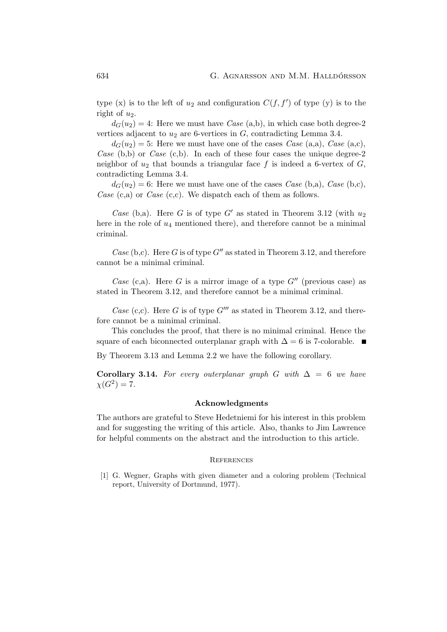type (x) is to the left of  $u_2$  and configuration  $C(f, f')$  of type (y) is to the right of  $u_2$ .

 $d_G(u_2) = 4$ : Here we must have *Case* (a,b), in which case both degree-2 vertices adjacent to  $u_2$  are 6-vertices in  $G$ , contradicting Lemma 3.4.

 $d_G(u_2) = 5$ : Here we must have one of the cases Case (a,a), Case (a,c), Case  $(b,b)$  or Case  $(c,b)$ . In each of these four cases the unique degree-2 neighbor of  $u_2$  that bounds a triangular face f is indeed a 6-vertex of G, contradicting Lemma 3.4.

 $d_G(u_2) = 6$ : Here we must have one of the cases *Case* (b,a), *Case* (b,c), Case  $(c,a)$  or Case  $(c,c)$ . We dispatch each of them as follows.

Case (b,a). Here G is of type G' as stated in Theorem 3.12 (with  $u_2$ ) here in the role of  $u_4$  mentioned there), and therefore cannot be a minimal criminal.

Case (b,c). Here G is of type  $G''$  as stated in Theorem 3.12, and therefore cannot be a minimal criminal.

Case (c,a). Here G is a mirror image of a type  $G''$  (previous case) as stated in Theorem 3.12, and therefore cannot be a minimal criminal.

Case (c,c). Here G is of type  $G'''$  as stated in Theorem 3.12, and therefore cannot be a minimal criminal.

This concludes the proof, that there is no minimal criminal. Hence the square of each biconnected outerplanar graph with  $\Delta = 6$  is 7-colorable.  $\blacksquare$ 

By Theorem 3.13 and Lemma 2.2 we have the following corollary.

Corollary 3.14. For every outerplanar graph G with  $\Delta = 6$  we have  $\chi(G^2) = 7.$ 

#### Acknowledgments

The authors are grateful to Steve Hedetniemi for his interest in this problem and for suggesting the writing of this article. Also, thanks to Jim Lawrence for helpful comments on the abstract and the introduction to this article.

## **REFERENCES**

[1] G. Wegner, Graphs with given diameter and a coloring problem (Technical report, University of Dortmund, 1977).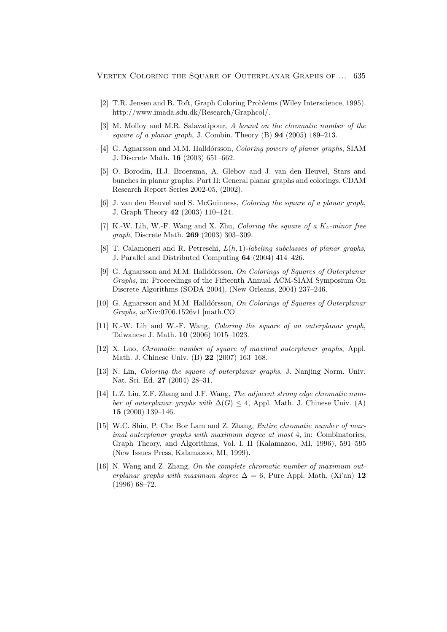- [2] T.R. Jensen and B. Toft, Graph Coloring Problems (Wiley Interscience, 1995). http://www.imada.sdu.dk/Research/Graphcol/.
- [3] M. Molloy and M.R. Salavatipour, A bound on the chromatic number of the square of a planar graph, J. Combin. Theory (B) 94 (2005) 189-213.
- [4] G. Agnarsson and M.M. Halld´orsson, Coloring powers of planar graphs, SIAM J. Discrete Math. 16 (2003) 651–662.
- [5] O. Borodin, H.J. Broersma, A. Glebov and J. van den Heuvel, Stars and bunches in planar graphs. Part II: General planar graphs and colorings. CDAM Research Report Series 2002-05, (2002).
- [6] J. van den Heuvel and S. McGuinness, Coloring the square of a planar graph, J. Graph Theory 42 (2003) 110–124.
- [7] K.-W. Lih, W.-F. Wang and X. Zhu, *Coloring the square of a K<sub>4</sub>-minor free* graph, Discrete Math. 269 (2003) 303–309.
- [8] T. Calamoneri and R. Petreschi,  $L(h, 1)$ -labeling subclasses of planar graphs, J. Parallel and Distributed Computing 64 (2004) 414–426.
- [9] G. Agnarsson and M.M. Halldórsson, On Colorings of Squares of Outerplanar Graphs, in: Proceedings of the Fifteenth Annual ACM-SIAM Symposium On Discrete Algorithms (SODA 2004), (New Orleans, 2004) 237–246.
- [10] G. Agnarsson and M.M. Halldórsson, On Colorings of Squares of Outerplanar Graphs, arXiv:0706.1526v1 [math.CO].
- [11] K.-W. Lih and W.-F. Wang, Coloring the square of an outerplanar graph, Taiwanese J. Math. 10 (2006) 1015–1023.
- [12] X. Luo, Chromatic number of square of maximal outerplanar graphs, Appl. Math. J. Chinese Univ. (B) 22 (2007) 163–168.
- [13] N. Lin, Coloring the square of outerplanar graphs, J. Nanjing Norm. Univ. Nat. Sci. Ed. 27 (2004) 28–31.
- [14] L.Z. Liu, Z.F. Zhang and J.F. Wang, The adjacent strong edge chromatic number of outerplanar graphs with  $\Delta(G) \leq 4$ , Appl. Math. J. Chinese Univ. (A) 15 (2000) 139–146.
- [15] W.C. Shiu, P. Che Bor Lam and Z. Zhang, Entire chromatic number of maximal outerplanar graphs with maximum degree at most 4, in: Combinatorics, Graph Theory, and Algorithms, Vol. I, II (Kalamazoo, MI, 1996), 591–595 (New Issues Press, Kalamazoo, MI, 1999).
- [16] N. Wang and Z. Zhang, On the complete chromatic number of maximum outerplanar graphs with maximum degree  $\Delta = 6$ , Pure Appl. Math. (Xi'an) 12 (1996) 68–72.